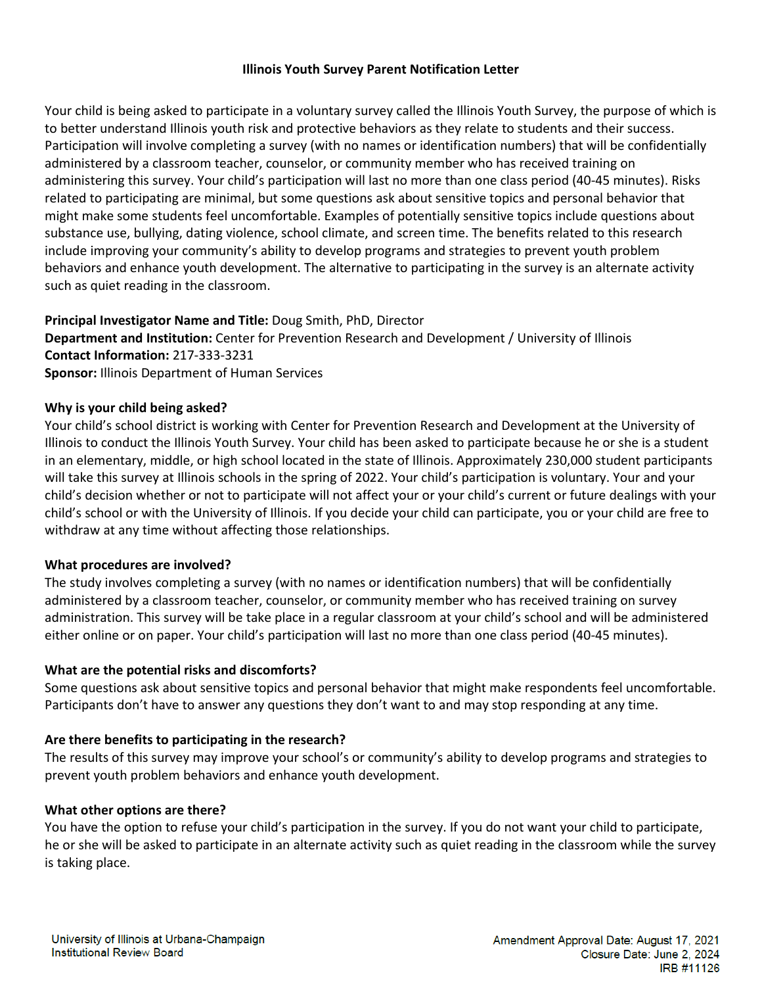# **Illinois Youth Survey Parent Notification Letter**

Your child is being asked to participate in a voluntary survey called the Illinois Youth Survey, the purpose of which is to better understand Illinois youth risk and protective behaviors as they relate to students and their success. Participation will involve completing a survey (with no names or identification numbers) that will be confidentially administered by a classroom teacher, counselor, or community member who has received training on administering this survey. Your child's participation will last no more than one class period (40-45 minutes). Risks related to participating are minimal, but some questions ask about sensitive topics and personal behavior that might make some students feel uncomfortable. Examples of potentially sensitive topics include questions about substance use, bullying, dating violence, school climate, and screen time. The benefits related to this research include improving your community's ability to develop programs and strategies to prevent youth problem behaviors and enhance youth development. The alternative to participating in the survey is an alternate activity such as quiet reading in the classroom.

# **Principal Investigator Name and Title:** Doug Smith, PhD, Director

**Department and Institution:** Center for Prevention Research and Development / University of Illinois **Contact Information:** 217-333-3231 **Sponsor:** Illinois Department of Human Services

## **Why is your child being asked?**

Your child's school district is working with Center for Prevention Research and Development at the University of Illinois to conduct the Illinois Youth Survey. Your child has been asked to participate because he or she is a student in an elementary, middle, or high school located in the state of Illinois. Approximately 230,000 student participants will take this survey at Illinois schools in the spring of 2022. Your child's participation is voluntary. Your and your child's decision whether or not to participate will not affect your or your child's current or future dealings with your child's school or with the University of Illinois. If you decide your child can participate, you or your child are free to withdraw at any time without affecting those relationships.

## **What procedures are involved?**

The study involves completing a survey (with no names or identification numbers) that will be confidentially administered by a classroom teacher, counselor, or community member who has received training on survey administration. This survey will be take place in a regular classroom at your child's school and will be administered either online or on paper. Your child's participation will last no more than one class period (40-45 minutes).

## **What are the potential risks and discomforts?**

Some questions ask about sensitive topics and personal behavior that might make respondents feel uncomfortable. Participants don't have to answer any questions they don't want to and may stop responding at any time.

## **Are there benefits to participating in the research?**

The results of this survey may improve your school's or community's ability to develop programs and strategies to prevent youth problem behaviors and enhance youth development.

#### **What other options are there?**

You have the option to refuse your child's participation in the survey. If you do not want your child to participate, he or she will be asked to participate in an alternate activity such as quiet reading in the classroom while the survey is taking place.